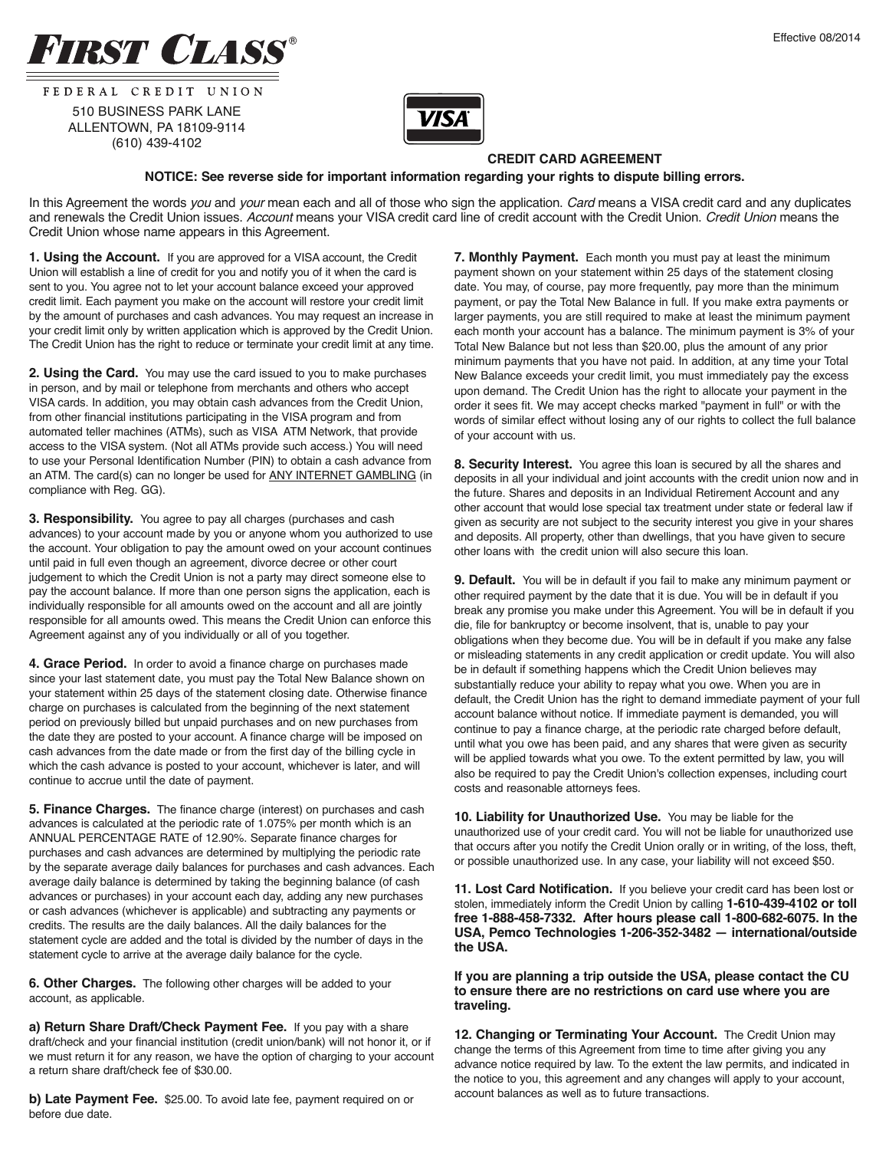



FEDERAL CREDIT UNION 510 BUSINESS PARK LANE ALLENTOWN, PA 18109-9114 (610) 439-4102



## **CREDIT CARD AGREEMENT**

## **NOTICE: See reverse side for important information regarding your rights to dispute billing errors.**

In this Agreement the words you and your mean each and all of those who sign the application. Card means a VISA credit card and any duplicates and renewals the Credit Union issues. Account means your VISA credit card line of credit account with the Credit Union. Credit Union means the Credit Union whose name appears in this Agreement.

**1. Using the Account.** If you are approved for a VISA account, the Credit Union will establish a line of credit for you and notify you of it when the card is sent to you. You agree not to let your account balance exceed your approved credit limit. Each payment you make on the account will restore your credit limit by the amount of purchases and cash advances. You may request an increase in your credit limit only by written application which is approved by the Credit Union. The Credit Union has the right to reduce or terminate your credit limit at any time.

**2. Using the Card.** You may use the card issued to you to make purchases in person, and by mail or telephone from merchants and others who accept VISA cards. In addition, you may obtain cash advances from the Credit Union, from other financial institutions participating in the VISA program and from automated teller machines (ATMs), such as VISA ATM Network, that provide access to the VISA system. (Not all ATMs provide such access.) You will need to use your Personal Identification Number (PIN) to obtain a cash advance from an ATM. The card(s) can no longer be used for ANY INTERNET GAMBLING (in compliance with Reg. GG).

**3. Responsibility.** You agree to pay all charges (purchases and cash advances) to your account made by you or anyone whom you authorized to use the account. Your obligation to pay the amount owed on your account continues until paid in full even though an agreement, divorce decree or other court judgement to which the Credit Union is not a party may direct someone else to pay the account balance. If more than one person signs the application, each is individually responsible for all amounts owed on the account and all are jointly responsible for all amounts owed. This means the Credit Union can enforce this Agreement against any of you individually or all of you together.

**4. Grace Period.** In order to avoid a finance charge on purchases made since your last statement date, you must pay the Total New Balance shown on your statement within 25 days of the statement closing date. Otherwise finance charge on purchases is calculated from the beginning of the next statement period on previously billed but unpaid purchases and on new purchases from the date they are posted to your account. A finance charge will be imposed on cash advances from the date made or from the first day of the billing cycle in which the cash advance is posted to your account, whichever is later, and will continue to accrue until the date of payment.

**5. Finance Charges.** The finance charge (interest) on purchases and cash advances is calculated at the periodic rate of 1.075% per month which is an ANNUAL PERCENTAGE RATE of 12.90%. Separate finance charges for purchases and cash advances are determined by multiplying the periodic rate by the separate average daily balances for purchases and cash advances. Each average daily balance is determined by taking the beginning balance (of cash advances or purchases) in your account each day, adding any new purchases or cash advances (whichever is applicable) and subtracting any payments or credits. The results are the daily balances. All the daily balances for the statement cycle are added and the total is divided by the number of days in the statement cycle to arrive at the average daily balance for the cycle.

**6. Other Charges.** The following other charges will be added to your account, as applicable.

**a) Return Share Draft/Check Payment Fee.** If you pay with a share draft/check and your financial institution (credit union/bank) will not honor it, or if we must return it for any reason, we have the option of charging to your account a return share draft/check fee of \$30.00.

**b) Late Payment Fee.** \$25.00. To avoid late fee, payment required on or before due date.

**7. Monthly Payment.** Each month you must pay at least the minimum payment shown on your statement within 25 days of the statement closing date. You may, of course, pay more frequently, pay more than the minimum payment, or pay the Total New Balance in full. If you make extra payments or larger payments, you are still required to make at least the minimum payment each month your account has a balance. The minimum payment is 3% of your Total New Balance but not less than \$20.00, plus the amount of any prior minimum payments that you have not paid. In addition, at any time your Total New Balance exceeds your credit limit, you must immediately pay the excess upon demand. The Credit Union has the right to allocate your payment in the order it sees fit. We may accept checks marked "payment in full" or with the words of similar effect without losing any of our rights to collect the full balance of your account with us.

**8. Security Interest.** You agree this loan is secured by all the shares and deposits in all your individual and joint accounts with the credit union now and in the future. Shares and deposits in an Individual Retirement Account and any other account that would lose special tax treatment under state or federal law if given as security are not subject to the security interest you give in your shares and deposits. All property, other than dwellings, that you have given to secure other loans with the credit union will also secure this loan.

**9. Default.** You will be in default if you fail to make any minimum payment or other required payment by the date that it is due. You will be in default if you break any promise you make under this Agreement. You will be in default if you die, file for bankruptcy or become insolvent, that is, unable to pay your obligations when they become due. You will be in default if you make any false or misleading statements in any credit application or credit update. You will also be in default if something happens which the Credit Union believes may substantially reduce your ability to repay what you owe. When you are in default, the Credit Union has the right to demand immediate payment of your full account balance without notice. If immediate payment is demanded, you will continue to pay a finance charge, at the periodic rate charged before default, until what you owe has been paid, and any shares that were given as security will be applied towards what you owe. To the extent permitted by law, you will also be required to pay the Credit Union's collection expenses, including court costs and reasonable attorneys fees.

**10. Liability for Unauthorized Use.** You may be liable for the unauthorized use of your credit card. You will not be liable for unauthorized use that occurs after you notify the Credit Union orally or in writing, of the loss, theft, or possible unauthorized use. In any case, your liability will not exceed \$50.

**11. Lost Card Notification.** If you believe your credit card has been lost or stolen, immediately inform the Credit Union by calling **1-610-439-4102 or toll free 1-888-458-7332. After hours please call 1-800-682-6075. In the USA, Pemco Technologies 1-206-352-3482 — international/outside the USA.**

**If you are planning a trip outside the USA, please contact the CU to ensure there are no restrictions on card use where you are traveling.**

**12. Changing or Terminating Your Account.** The Credit Union may change the terms of this Agreement from time to time after giving you any advance notice required by law. To the extent the law permits, and indicated in the notice to you, this agreement and any changes will apply to your account, account balances as well as to future transactions.